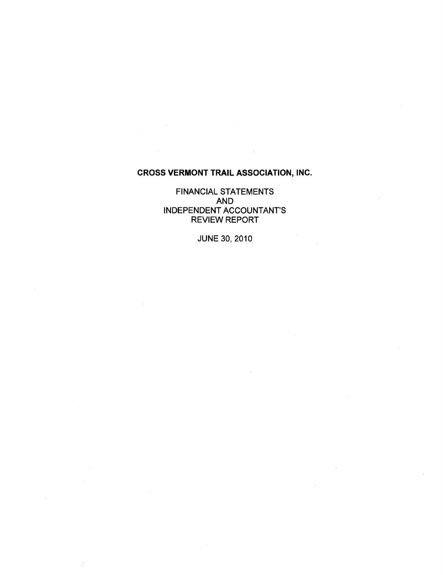# **CROSS VERMONT TRAIL ASSOCIATION, INC.**

FINANCIAL STATEMENTS AND INDEPENDENT ACCOUNTANT'S REVIEW REPORT

JUNE 30, 2010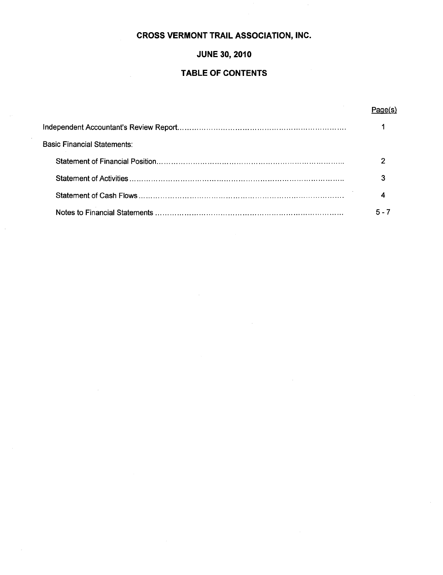# **CROSS VERMONT TRAIL ASSOCIATION, INC.**

# **JUNE 30, 2010**

# **TABLE OF CONTENTS**

# **Page(s)**

| Basic Financial Statements: |  |
|-----------------------------|--|
|                             |  |
|                             |  |
|                             |  |
|                             |  |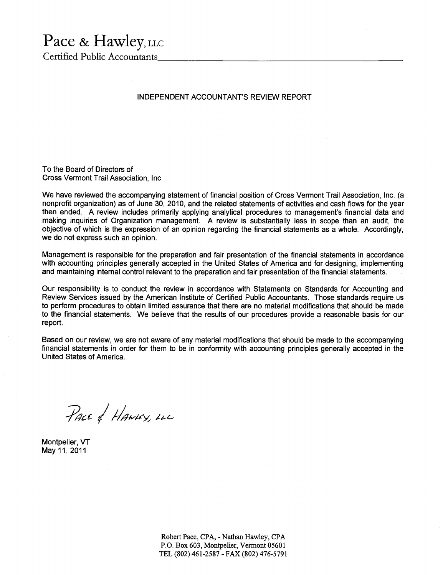# Pace & Hawley, LLC

Certified Public Accountants \_\_\_\_\_\_\_\_\_\_\_\_\_\_\_\_\_\_\_\_\_\_ \_

### INDEPENDENT ACCOUNTANT'S REVIEW REPORT

To the Board of Directors of Cross Vermont Trail Association, Inc

We have reviewed the accompanying statement of financial position of Cross Vermont Trail Association, Inc. (a nonprofit organization) as of June 30, 2010, and the related statements of activities and cash flows for the year then ended. A review includes primarily applying analytical procedures to management's financial data and making inquiries of Organization management. A review is substantially less in scope than an audit, the objective of which is the expression of an opinion regarding the financial statements as a whole. Accordingly, we do not express such an opinion.

Management is responsible for the preparation and fair presentation of the financial statements in accordance with accounting principles generally accepted in the United States of America and for designing, implementing and maintaining internal control relevant to the preparation and fair presentation of the financial statements.

Our responsibility is to conduct the review in accordance with Statements on Standards for Accounting and Review Services issued by the American Institute of Certified Public Accountants. Those standards require us to perform procedures to obtain limited assurance that there are no material modifications that should be made to the financial statements. We believe that the results of our procedures provide a reasonable basis for our report.

Based on our review, we are not aware of any material modifications that should be made to the accompanying financial statements in order for them to be in conformity with accounting principles generally accepted in the United States of America.

PACE & HANNEY, LLC

Montpelier, VT May 11, 2011

Robert Pace, CPA, - Nathan Hawley, CPA P.O. Box 603, Montpelier, Vermont 05601 TEL (802) 461-2587 - FAX (802) 476-5791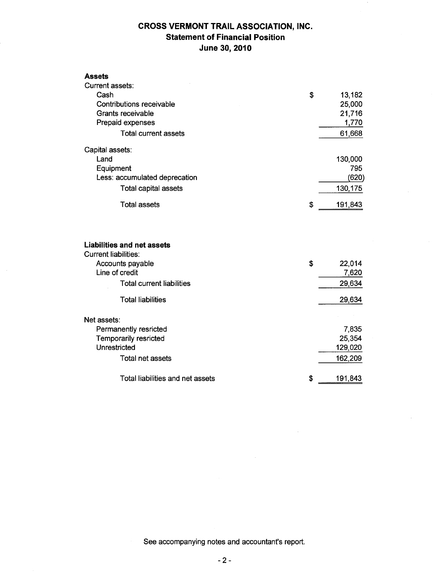# **CROSS VERMONT TRAIL ASSOCIATION, INC. Statement of Financial Position June 30, 2010**

| <b>Assets</b>                                                    |               |
|------------------------------------------------------------------|---------------|
| Current assets:                                                  |               |
| Cash                                                             | \$<br>13,182  |
| Contributions receivable                                         | 25,000        |
| Grants receivable                                                | 21,716        |
| Prepaid expenses                                                 | 1,770         |
| <b>Total current assets</b>                                      | 61,668        |
| Capital assets:                                                  |               |
| Land                                                             | 130,000       |
| Equipment                                                        | 795           |
| Less: accumulated deprecation                                    | (620)         |
| <b>Total capital assets</b>                                      | 130,175       |
| <b>Total assets</b>                                              | \$<br>191,843 |
| <b>Liabilities and net assets</b><br><b>Current liabilities:</b> |               |
| Accounts payable                                                 | \$<br>22,014  |
| Line of credit                                                   | 7,620         |
| <b>Total current liabilities</b>                                 | 29,634        |
| <b>Total liabilities</b>                                         | 29,634        |
| Net assets:                                                      |               |
| Permanently resricted                                            | 7,835         |
| Temporarily resricted                                            | 25,354        |
| Unrestricted                                                     | 129,020       |
| Total net assets                                                 | 162,209       |
| Total liabilities and net assets                                 | \$<br>191,843 |

See accompanying notes and accountant's report.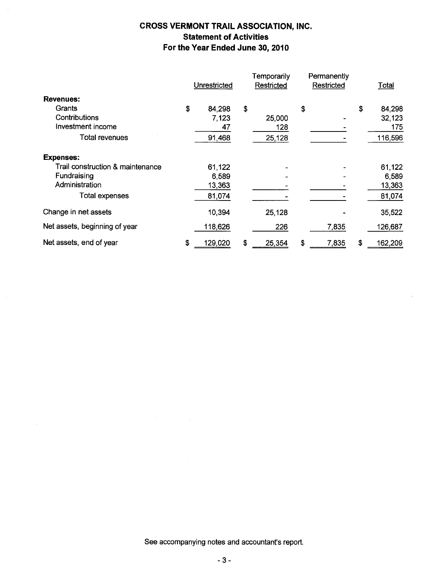# **CROSS VERMONT TRAIL ASSOCIATION, INC. Statement of Activities For the Year Ended June 30, 2010**

|                                  | Unrestricted  | Temporarily<br>Restricted | Permanently<br>Restricted | Total         |
|----------------------------------|---------------|---------------------------|---------------------------|---------------|
| <b>Revenues:</b>                 |               |                           |                           |               |
| Grants                           | \$<br>84,298  | \$                        | \$                        | \$<br>84,298  |
| Contributions                    | 7,123         | 25,000                    |                           | 32,123        |
| Investment income                | 47            | 128                       |                           | 175           |
| <b>Total revenues</b>            | 91,468        | 25,128                    |                           | 116,596       |
| <b>Expenses:</b>                 |               |                           |                           |               |
| Trail construction & maintenance | 61,122        |                           |                           | 61,122        |
| Fundraising                      | 6,589         |                           |                           | 6,589         |
| Administration                   | 13,363        |                           |                           | 13,363        |
| <b>Total expenses</b>            | 81,074        |                           |                           | 81,074        |
| Change in net assets             | 10,394        | 25,128                    |                           | 35,522        |
| Net assets, beginning of year    | 118,626       | 226                       | 7,835                     | 126,687       |
| Net assets, end of year          | \$<br>129,020 | \$<br>25,354              | \$<br>7,835               | \$<br>162,209 |

See accompanying notes and accountant's report.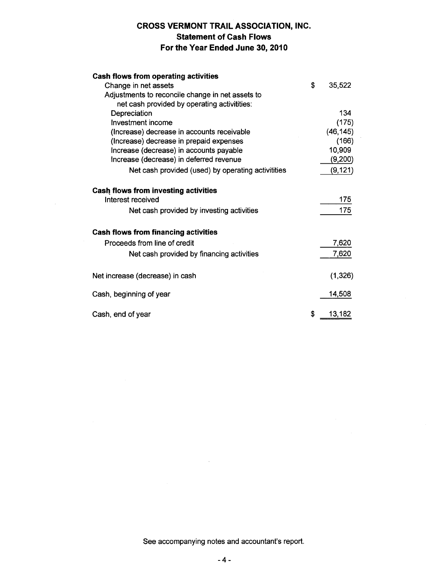# **CROSS VERMONT TRAIL ASSOCIATION, INC. Statement of Cash Flows For the Year Ended June 30, 2010**

| <b>Cash flows from operating activities</b>        |   |           |
|----------------------------------------------------|---|-----------|
| Change in net assets                               | Ŝ | 35,522    |
| Adjustments to reconcile change in net assets to   |   |           |
| net cash provided by operating activitities:       |   |           |
| Depreciation                                       |   | 134       |
| Investment income                                  |   | (175)     |
| (Increase) decrease in accounts receivable         |   | (46, 145) |
| (Increase) decrease in prepaid expenses            |   | (166)     |
| Increase (decrease) in accounts payable            |   | 10,909    |
| Increase (decrease) in deferred revenue            |   | (9,200)   |
| Net cash provided (used) by operating activitities |   | (9, 121)  |
| Cash flows from investing activities               |   |           |
| Interest received                                  |   | 175       |
| Net cash provided by investing activities          |   | 175       |
| <b>Cash flows from financing activities</b>        |   |           |
| Proceeds from line of credit                       |   | 7,620     |
| Net cash provided by financing activities          |   | 7,620     |
| Net increase (decrease) in cash                    |   | (1, 326)  |
| Cash, beginning of year                            |   | 14,508    |
| Cash, end of year                                  | S | 13,182    |

 $\sim$ 

See accompanying notes and accountant's report.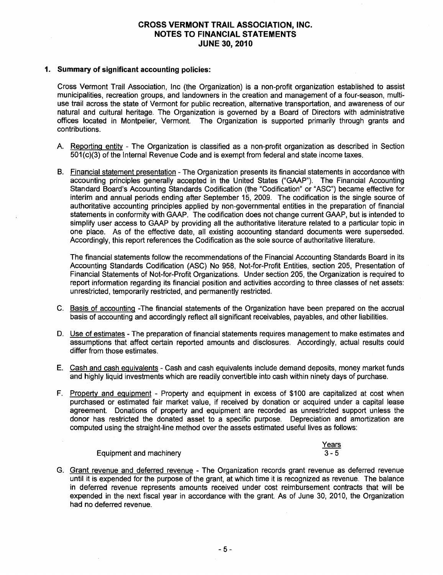# **CROSS VERMONT TRAIL ASSOCIATION, INC. NOTES TO FINANCIAL STATEMENTS JUNE 30, 2010**

### **1. Summary of significant accounting policies:**

Cross Vermont Trail Association, Inc (the Organization) is a non-profit organization established to assist municipalities, recreation groups, and landowners in the creation and management of a four-season, multiuse trail across the state of Vermont for public recreation, alternative transportation, and awareness of our natural and cultural heritage. The Organization is governed by a Board of Directors with administrative offices located in Montpelier, Vermont. The Organization is supported primarily through grants and contributions.

- A. Reporting entity The Organization is classified as a non-profit organization as described in Section 501 (c)(3) of the Internal Revenue Code and is exempt from federal and state income taxes.
- B. Financial statement presentation The Organization presents its financial statements in accordance with accounting principles generally accepted in the United States ("GAAP"). The Financial Accounting Standard Board's Accounting Standards Codification (the "Codification" or "ASC") became effective for interim and annual periods ending after September 15, 2009. The codification is the single source of authoritative accounting principles applied by non-governmental entities in the preparation of financial statements in conformity with GAAP. The codification does not change current GAAP, but is intended to simplify user access to GAAP by providing all the authoritative literature related to a particular topic in one place. As of the effective date, all existing accounting standard documents were superseded. Accordingly, this report references the Codification as the sole source of authoritative literature.

The financial statements follow the recommendations of the Financial Accounting Standards Board in its Accounting Standards Codification (ASC) No 958, Not-for-Profit Entities, section 205, Presentation of Financial Statements of Not-for-Profit Organizations. Under section 205, the Organization is required to report information regarding its financial position and activities according to three classes of net assets: unrestricted, temporarily restricted, and permanently restricted.

- C. Basis of accounting -The financial statements of the Organization have been prepared on the accrual basis of accounting and accordingly reflect all significant receivables, payables, and other liabilities.
- D. Use of estimates The preparation of financial statements requires management to make estimates and assumptions that affect certain reported amounts and disclosures. Accordingly, actual results could differ from those estimates.
- E. Cash and cash equivalents Cash and cash equivalents include demand deposits, money market funds and highly liquid investments which are readily convertible into cash within ninety days of purchase.
- F. Property and equipment Property and equipment in excess of \$100 are capitalized at cost when purchased or estimated fair market value, if received by donation or acquired under a capital lease agreement. Donations of property and equipment are recorded as unrestricted support unless the donor has restricted the donated asset to a specific purpose. Depreciation and amortization are computed using the straight-line method over the assets estimated useful lives as follows:

#### Equipment and machinery **Years**  $3 - 5$

G. Grant revenue and deferred revenue - The Organization records grant revenue as deferred revenue until it is expended for the purpose of the grant, at which time it is recognized as revenue. The balance in deferred revenue represents amounts received under cost reimbursement contracts that will be expended in the next fiscal year in accordance with the grant. As of June 30; 2010, the Organization had no deferred revenue.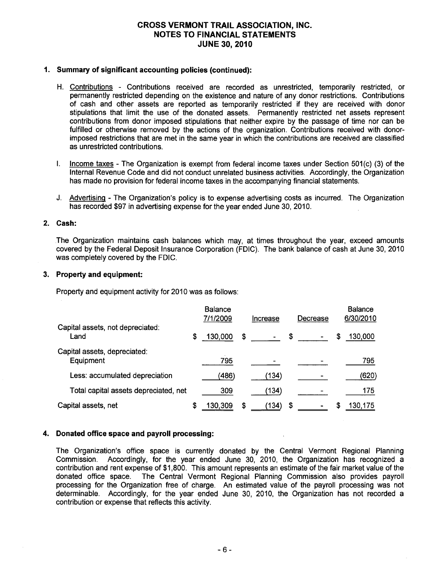# **CROSS VERMONT TRAIL ASSOCIATION, INC. NOTES TO FINANCIAL STATEMENTS JUNE 30, 2010**

### **1. Summary of significant accounting policies (continued):**

- H. Contributions Contributions received are recorded as unrestricted, temporarily restricted, or permanently restricted depending on the existence and nature of any donor restrictions. Contributions of cash and other assets are reported as temporarily restricted if they are received with donor stipulations that limit the use of the donated assets. Permanently restricted net assets represent contributions from donor imposed stipulations that neither expire by the passage of time nor can be fulfilled or otherwise removed by the actions of the organization. Contributions received with donorimposed restrictions that are met in the same year in which the contributions are received are classified as unrestricted contributions.
- I. Income taxes The Organization is exempt from federal income taxes under Section 501(c) (3) of the Internal Revenue Code and did not conduct unrelated business activities. Accordingly, the Organization has made no provision for federal income taxes in the accompanying financial statements.
- J. Advertising The Organization's policy is to expense advertising costs as incurred. The Organization has recorded \$97 in advertising expense for the year ended June 30, 2010.

### **2. Cash:**

The Organization maintains cash balances which may, at times throughout the year, exceed amounts covered by the Federal Deposit Insurance Corporation (FDIC). The bank balance of cash at June 30, 2010 was completely covered by the FDIC.

### **3. Property and equipment:**

Property and equipment activity for 2010 was as follows:

|                                           |    | <b>Balance</b><br>7/1/2009 |    | Increase       |    | Decrease |   | <b>Balance</b><br>6/30/2010 |
|-------------------------------------------|----|----------------------------|----|----------------|----|----------|---|-----------------------------|
| Capital assets, not depreciated:<br>Land  | \$ | 130,000                    | -S | $\blacksquare$ | \$ |          | S | 130,000                     |
| Capital assets, depreciated:<br>Equipment |    | 795                        |    |                |    |          |   | 795                         |
| Less: accumulated depreciation            |    | (486)                      |    | (134)          |    |          |   | (620)                       |
| Total capital assets depreciated, net     |    | 309                        |    | (134)          |    |          |   | 175                         |
| Capital assets, net                       | S  | 130.309                    | S  | (134)          | S  |          | S | 130.175                     |

# **4. Donated office space and payroll processing:**

The Organization's office space is currently donated by the Central Vermont Regional Planning Commission. Accordingly, for the year ended June 30, 2010, the Organization has recognized a contribution and rent expense of \$1 ,800. This amount represents an estimate of the fair market value of the donated office space. The Central Vermont Regional Planning Commission also provides payroll processing for the Organization free of charge. An estimated value of the payroll processing was not determinable. Accordingly, for the year ended June 30, 2010, the Organization has not recorded a contribution or expense that reflects this activity.